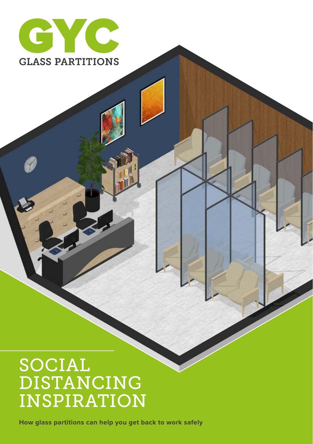

### SOCIAL DISTANCING INSPIRATION

How glass partitions can help you get back to work safely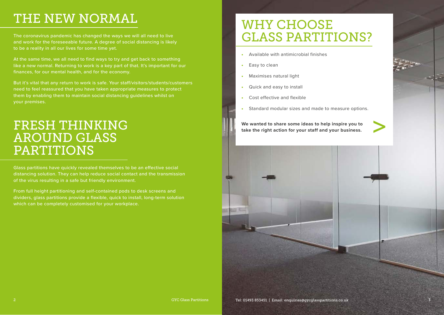# THE NEW NORMAL

The coronavirus pandemic has changed the ways we will all need to live and work for the foreseeable future. A degree of social distancing is likely to be a reality in all our lives for some time yet.

At the same time, we all need to find ways to try and get back to something like a new normal. Returning to work is a key part of that. It's important for our finances, for our mental health, and for the economy.

But it's vital that any return to work is safe. Your staff/visitors/students/customers need to feel reassured that you have taken appropriate measures to protect them by enabling them to maintain social distancing guidelines whilst on your premises.

### FRESH THINKING AROUND GLASS PARTITIONS

Glass partitions have quickly revealed themselves to be an effective social distancing solution. They can help reduce social contact and the transmission of the virus resulting in a safe but friendly environment.

From full height partitioning and self-contained pods to desk screens and dividers, glass partitions provide a flexible, quick to install, long-term solution which can be completely customised for your workplace.

## WHY CHOOSE GLASS PARTITIONS?

- Available with antimicrobial finishes
- Easy to clean
- Maximises natural light
- Quick and easy to install
- Cost effective and flexible
- Standard modular sizes and made to measure options.

**We wanted to share some ideas to help inspire you to the wanted to share some ideas to help inspire you to**<br>take the right action for your staff and your business.

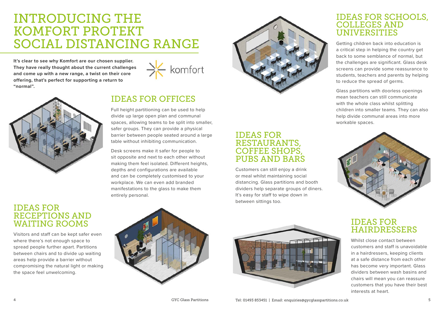### INTRODUCING THE KOMFORT PROTEKT SOCIAL DISTANCING RANGE

**It's clear to see why Komfort are our chosen supplier. They have really thought about the current challenges and come up with a new range, a twist on their core offering, that's perfect for supporting a return to "normal".**





### IDEAS FOR OFFICES

Full height partitioning can be used to help divide up large open plan and communal spaces, allowing teams to be split into smaller, safer groups. They can provide a physical barrier between people seated around a large table without inhibiting communication.

Desk screens make it safer for people to sit opposite and next to each other without making them feel isolated. Different heights, depths and configurations are available and can be completely customised to your workplace. We can even add branded manifestations to the glass to make them entirely personal.



#### IDEAS FOR RESTAURANTS, COFFEE SHOPS, PUBS AND BARS

Customers can still enjoy a drink or meal whilst maintaining social distancing. Glass partitions and booth dividers help separate groups of diners. It's easy for staff to wipe down in between sittings too.

#### IDEAS FOR SCHOOLS, COLLEGES AND UNIVERSITIES

Getting children back into education is a critical step in helping the country get back to some semblance of normal, but the challenges are significant. Glass desk screens can provide some reassurance to students, teachers and parents by helping to reduce the spread of germs.

Glass partitions with doorless openings mean teachers can still communicate with the whole class whilst splitting children into smaller teams. They can also help divide communal areas into more workable spaces.



#### IDEAS FOR RECEPTIONS AND WAITING ROOMS

Visitors and staff can be kept safer even where there's not enough space to spread people further apart. Partitions between chairs and to divide up waiting areas help provide a barrier without compromising the natural light or making the space feel unwelcoming.





### IDEAS FOR HAIRDRESSERS

Whilst close contact between customers and staff is unavoidable in a hairdressers, keeping clients at a safe distance from each other has become very important. Glass dividers between wash basins and chairs will mean you can reassure customers that you have their best interests at heart.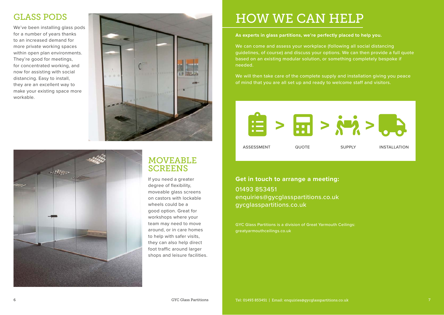### GLASS PODS

We've been installing glass pods for a number of years thanks to an increased demand for more private working spaces within open plan environments. They're good for meetings, for concentrated working, and now for assisting with social distancing. Easy to install, they are an excellent way to make your existing space more workable.





### MOVEABLE **SCREENS**

If you need a greater degree of flexibility, moveable glass screens on castors with lockable wheels could be a good option. Great for workshops where your team may need to move around, or in care homes to help with safer visits, they can also help direct foot traffic around larger shops and leisure facilities.

# HOW WE CAN HELP

#### **As experts in glass partitions, we're perfectly placed to help you.**

We can come and assess your workplace (following all social distancing guidelines, of course) and discuss your options. We can then provide a full quote based on an existing modular solution, or something completely bespoke if needed.

We will then take care of the complete supply and installation giving you peace of mind that you are all set up and ready to welcome staff and visitors.



#### **Get in touch to arrange a meeting:** 01493 853451

enquiries@gycglasspartitions.co.uk gycglasspartitions.co.uk

GYC Glass Partitions is a division of Great Yarmouth Ceilings: greatyarmouthceilings.co.uk